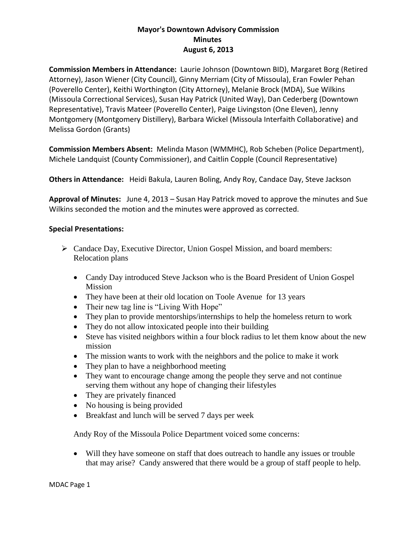## **Mayor's Downtown Advisory Commission Minutes August 6, 2013**

**Commission Members in Attendance:** Laurie Johnson (Downtown BID), Margaret Borg (Retired Attorney), Jason Wiener (City Council), Ginny Merriam (City of Missoula), Eran Fowler Pehan (Poverello Center), Keithi Worthington (City Attorney), Melanie Brock (MDA), Sue Wilkins (Missoula Correctional Services), Susan Hay Patrick (United Way), Dan Cederberg (Downtown Representative), Travis Mateer (Poverello Center), Paige Livingston (One Eleven), Jenny Montgomery (Montgomery Distillery), Barbara Wickel (Missoula Interfaith Collaborative) and Melissa Gordon (Grants)

**Commission Members Absent:** Melinda Mason (WMMHC), Rob Scheben (Police Department), Michele Landquist (County Commissioner), and Caitlin Copple (Council Representative)

**Others in Attendance:** Heidi Bakula, Lauren Boling, Andy Roy, Candace Day, Steve Jackson

**Approval of Minutes:** June 4, 2013 – Susan Hay Patrick moved to approve the minutes and Sue Wilkins seconded the motion and the minutes were approved as corrected.

## **Special Presentations:**

- $\triangleright$  Candace Day, Executive Director, Union Gospel Mission, and board members: Relocation plans
	- Candy Day introduced Steve Jackson who is the Board President of Union Gospel Mission
	- They have been at their old location on Toole Avenue for 13 years
	- Their new tag line is "Living With Hope"
	- They plan to provide mentorships/internships to help the homeless return to work
	- They do not allow intoxicated people into their building
	- Steve has visited neighbors within a four block radius to let them know about the new mission
	- The mission wants to work with the neighbors and the police to make it work
	- They plan to have a neighborhood meeting
	- They want to encourage change among the people they serve and not continue serving them without any hope of changing their lifestyles
	- They are privately financed
	- No housing is being provided
	- Breakfast and lunch will be served 7 days per week

Andy Roy of the Missoula Police Department voiced some concerns:

 Will they have someone on staff that does outreach to handle any issues or trouble that may arise? Candy answered that there would be a group of staff people to help.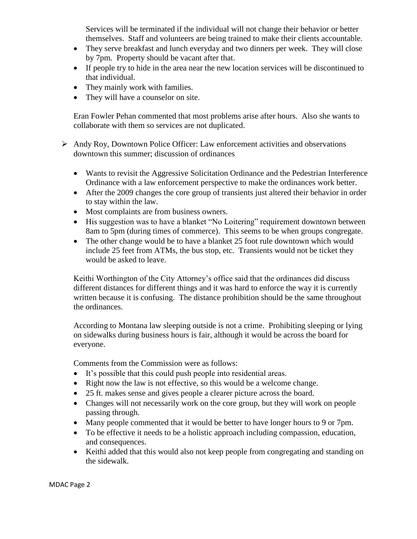Services will be terminated if the individual will not change their behavior or better themselves. Staff and volunteers are being trained to make their clients accountable.

- They serve breakfast and lunch everyday and two dinners per week. They will close by 7pm. Property should be vacant after that.
- If people try to hide in the area near the new location services will be discontinued to that individual.
- They mainly work with families.
- They will have a counselor on site.

Eran Fowler Pehan commented that most problems arise after hours. Also she wants to collaborate with them so services are not duplicated.

- $\triangleright$  Andy Roy, Downtown Police Officer: Law enforcement activities and observations downtown this summer; discussion of ordinances
	- Wants to revisit the Aggressive Solicitation Ordinance and the Pedestrian Interference Ordinance with a law enforcement perspective to make the ordinances work better.
	- After the 2009 changes the core group of transients just altered their behavior in order to stay within the law.
	- Most complaints are from business owners.
	- His suggestion was to have a blanket "No Loitering" requirement downtown between 8am to 5pm (during times of commerce). This seems to be when groups congregate.
	- The other change would be to have a blanket 25 foot rule downtown which would include 25 feet from ATMs, the bus stop, etc. Transients would not be ticket they would be asked to leave.

Keithi Worthington of the City Attorney's office said that the ordinances did discuss different distances for different things and it was hard to enforce the way it is currently written because it is confusing. The distance prohibition should be the same throughout the ordinances.

According to Montana law sleeping outside is not a crime. Prohibiting sleeping or lying on sidewalks during business hours is fair, although it would be across the board for everyone.

Comments from the Commission were as follows:

- It's possible that this could push people into residential areas.
- Right now the law is not effective, so this would be a welcome change.
- 25 ft. makes sense and gives people a clearer picture across the board.
- Changes will not necessarily work on the core group, but they will work on people passing through.
- Many people commented that it would be better to have longer hours to 9 or 7pm.
- To be effective it needs to be a holistic approach including compassion, education, and consequences.
- Keithi added that this would also not keep people from congregating and standing on the sidewalk.